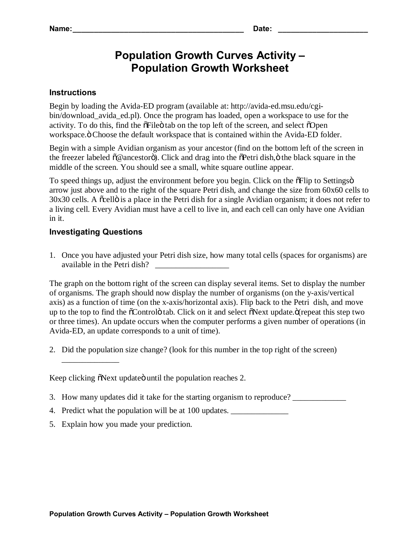## **Population Growth Curves Activity – Population Growth Worksheet**

## **Instructions**

Begin by loading the Avida-ED program (available at: http://avida-ed.msu.edu/cgibin/download\_avida\_ed.pl). Once the program has loaded, open a workspace to use for the activity. To do this, find the  $\delta$ File $\ddot{o}$  tab on the top left of the screen, and select  $\delta$ Open workspace. " Choose the default workspace that is contained within the Avida-ED folder.

Begin with a simple Avidian organism as your ancestor (find on the bottom left of the screen in the freezer labeled  $\tilde{o}$ @ancestorö). Click and drag into the  $\tilde{o}$ Petri dish, $\ddot{o}$  the black square in the middle of the screen. You should see a small, white square outline appear.

To speed things up, adjust the environment before you begin. Click on the  $\delta$ Flip to Settingsö arrow just above and to the right of the square Petri dish, and change the size from 60x60 cells to 30x30 cells. A õcellö is a place in the Petri dish for a single Avidian organism; it does not refer to a living cell. Every Avidian must have a cell to live in, and each cell can only have one Avidian in it.

## **Investigating Questions**

1. Once you have adjusted your Petri dish size, how many total cells (spaces for organisms) are available in the Petri dish?

The graph on the bottom right of the screen can display several items. Set to display the number of organisms. The graph should now display the number of organisms (on the y-axis/vertical axis) as a function of time (on the x-axis/horizontal axis). Flip back to the Petri dish, and move up to the top to find the  $\tilde{O}$ Controlo tab. Click on it and select  $\tilde{O}$ Next update. $\tilde{O}$ (repeat this step two or three times). An update occurs when the computer performs a given number of operations (in Avida-ED, an update corresponds to a unit of time).

2. Did the population size change? (look for this number in the top right of the screen)

\_\_\_\_\_\_\_\_\_\_\_\_\_\_

Keep clicking  $\delta$ Next update until the population reaches 2.

- 3. How many updates did it take for the starting organism to reproduce?
- 4. Predict what the population will be at 100 updates. \_\_\_\_\_\_\_\_\_\_\_\_\_\_\_\_\_\_\_\_\_\_\_\_\_
- 5. Explain how you made your prediction.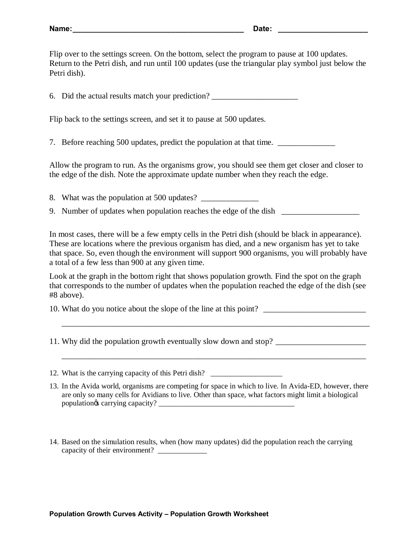Flip over to the settings screen. On the bottom, select the program to pause at 100 updates. Return to the Petri dish, and run until 100 updates (use the triangular play symbol just below the Petri dish).

6. Did the actual results match your prediction? \_\_\_\_\_\_\_\_\_\_\_\_\_\_\_\_\_\_\_\_\_\_\_\_\_\_\_\_\_\_\_

Flip back to the settings screen, and set it to pause at 500 updates.

7. Before reaching 500 updates, predict the population at that time.

Allow the program to run. As the organisms grow, you should see them get closer and closer to the edge of the dish. Note the approximate update number when they reach the edge.

8. What was the population at 500 updates?

9. Number of updates when population reaches the edge of the dish \_\_\_\_\_\_\_\_\_\_\_\_\_\_

In most cases, there will be a few empty cells in the Petri dish (should be black in appearance). These are locations where the previous organism has died, and a new organism has yet to take that space. So, even though the environment will support 900 organisms, you will probably have a total of a few less than 900 at any given time.

Look at the graph in the bottom right that shows population growth. Find the spot on the graph that corresponds to the number of updates when the population reached the edge of the dish (see #8 above).

10. What do you notice about the slope of the line at this point?

\_\_\_\_\_\_\_\_\_\_\_\_\_\_\_\_\_\_\_\_\_\_\_\_\_\_\_\_\_\_\_\_\_\_\_\_\_\_\_\_\_\_\_\_\_\_\_\_\_\_\_\_\_\_\_\_\_\_\_\_\_\_\_\_\_\_\_\_\_\_\_\_\_\_\_

\_\_\_\_\_\_\_\_\_\_\_\_\_\_\_\_\_\_\_\_\_\_\_\_\_\_\_\_\_\_\_\_\_\_\_\_\_\_\_\_\_\_\_\_\_\_\_\_\_\_\_\_\_\_\_\_\_\_\_\_\_\_\_\_\_\_\_\_\_\_\_\_\_\_

11. Why did the population growth eventually slow down and stop?

12. What is the carrying capacity of this Petri dish? \_\_\_\_\_\_\_\_\_\_\_\_\_\_\_\_\_\_\_\_\_\_\_\_\_\_

- 13. In the Avida world, organisms are competing for space in which to live. In Avida-ED, however, there are only so many cells for Avidians to live. Other than space, what factors might limit a biological population's carrying capacity? \_\_\_\_\_\_\_\_\_\_\_\_\_\_\_\_\_\_\_\_\_\_\_\_\_\_\_\_\_\_\_\_\_\_\_\_
- 14. Based on the simulation results, when (how many updates) did the population reach the carrying capacity of their environment? \_\_\_\_\_\_\_\_\_\_\_\_\_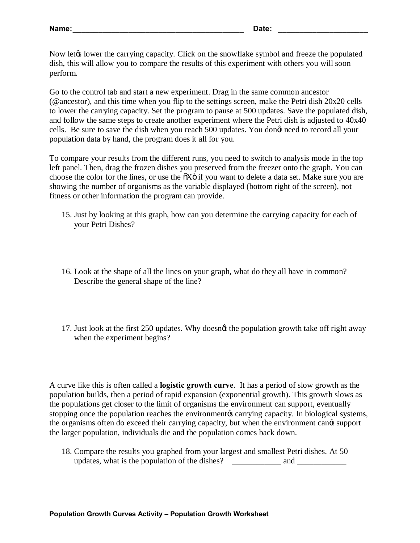Now let the carrying capacity. Click on the snowflake symbol and freeze the populated dish, this will allow you to compare the results of this experiment with others you will soon perform.

Go to the control tab and start a new experiment. Drag in the same common ancestor (@ancestor), and this time when you flip to the settings screen, make the Petri dish 20x20 cells to lower the carrying capacity. Set the program to pause at 500 updates. Save the populated dish, and follow the same steps to create another experiment where the Petri dish is adjusted to 40x40 cells. Be sure to save the dish when you reach 500 updates. You dongt need to record all your population data by hand, the program does it all for you.

To compare your results from the different runs, you need to switch to analysis mode in the top left panel. Then, drag the frozen dishes you preserved from the freezer onto the graph. You can choose the color for the lines, or use the  $\tilde{o}X\tilde{o}$  if you want to delete a data set. Make sure you are showing the number of organisms as the variable displayed (bottom right of the screen), not fitness or other information the program can provide.

- 15. Just by looking at this graph, how can you determine the carrying capacity for each of your Petri Dishes?
- 16. Look at the shape of all the lines on your graph, what do they all have in common? Describe the general shape of the line?
- 17. Just look at the first 250 updates. Why doesngt the population growth take off right away when the experiment begins?

A curve like this is often called a **logistic growth curve**. It has a period of slow growth as the population builds, then a period of rapid expansion (exponential growth). This growth slows as the populations get closer to the limit of organisms the environment can support, eventually stopping once the population reaches the environment a carrying capacity. In biological systems, the organisms often do exceed their carrying capacity, but when the environment cand support the larger population, individuals die and the population comes back down.

18. Compare the results you graphed from your largest and smallest Petri dishes. At 50 updates, what is the population of the dishes? and and  $\Box$